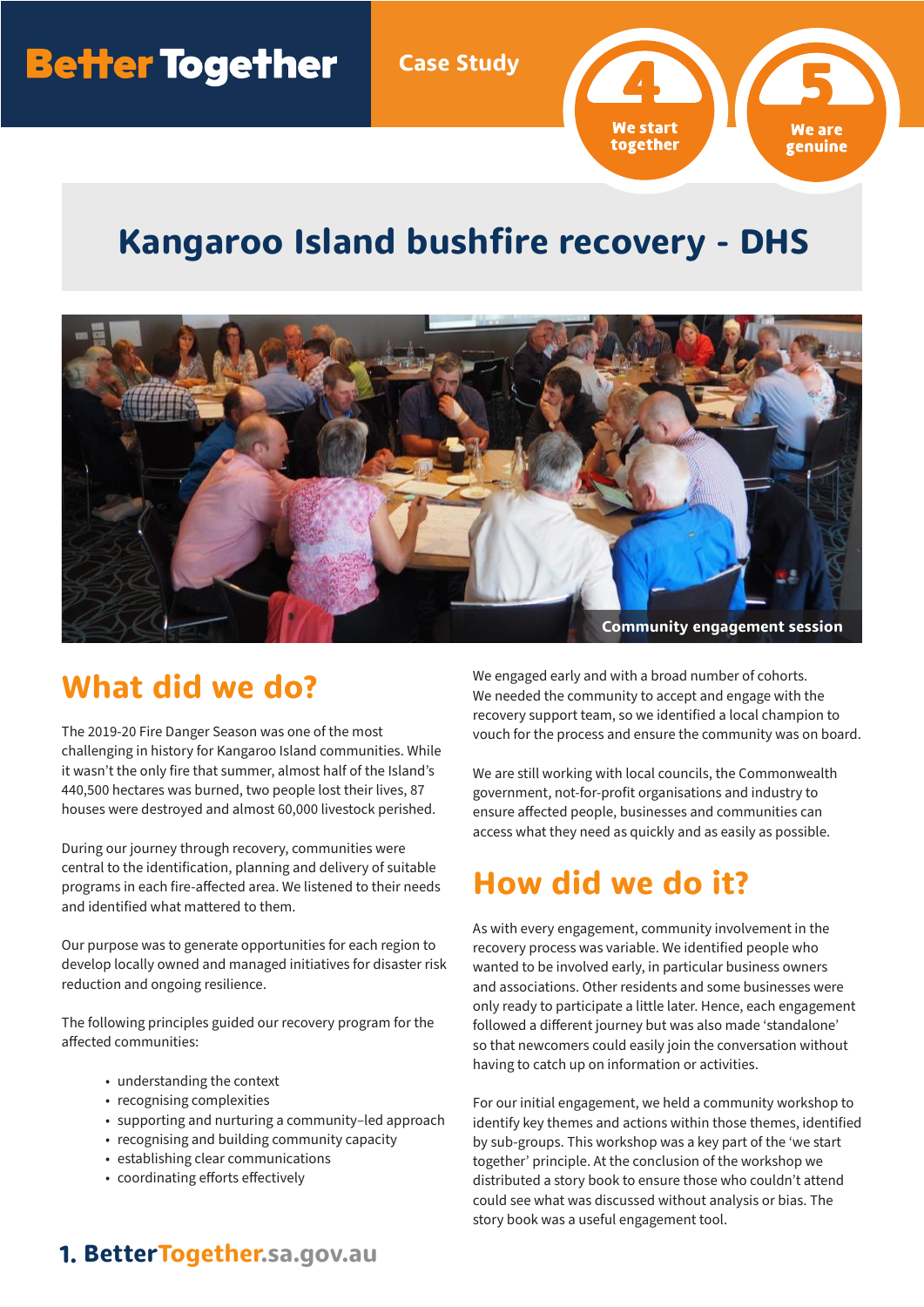# **Better Together**

**Case Study**

We start together genuine

## **Kangaroo Island bushfire recovery - DHS**



## **What did we do?**

The 2019-20 Fire Danger Season was one of the most challenging in history for Kangaroo Island communities. While it wasn't the only fire that summer, almost half of the Island's 440,500 hectares was burned, two people lost their lives, 87 houses were destroyed and almost 60,000 livestock perished.

During our journey through recovery, communities were central to the identification, planning and delivery of suitable programs in each fire-affected area. We listened to their needs and identified what mattered to them.

Our purpose was to generate opportunities for each region to develop locally owned and managed initiatives for disaster risk reduction and ongoing resilience.

The following principles guided our recovery program for the affected communities:

- understanding the context
- recognising complexities
- supporting and nurturing a community–led approach
- recognising and building community capacity
- establishing clear communications
- coordinating efforts effectively

We engaged early and with a broad number of cohorts. We needed the community to accept and engage with the recovery support team, so we identified a local champion to vouch for the process and ensure the community was on board.

We are still working with local councils, the Commonwealth government, not-for-profit organisations and industry to ensure affected people, businesses and communities can access what they need as quickly and as easily as possible.

# **How did we do it?**

As with every engagement, community involvement in the recovery process was variable. We identified people who wanted to be involved early, in particular business owners and associations. Other residents and some businesses were only ready to participate a little later. Hence, each engagement followed a different journey but was also made 'standalone' so that newcomers could easily join the conversation without having to catch up on information or activities.

For our initial engagement, we held a community workshop to identify key themes and actions within those themes, identified by sub-groups. This workshop was a key part of the 'we start together' principle. At the conclusion of the workshop we distributed a story book to ensure those who couldn't attend could see what was discussed without analysis or bias. The story book was a useful engagement tool.

#### **1. BetterTogether.sa.gov.au**